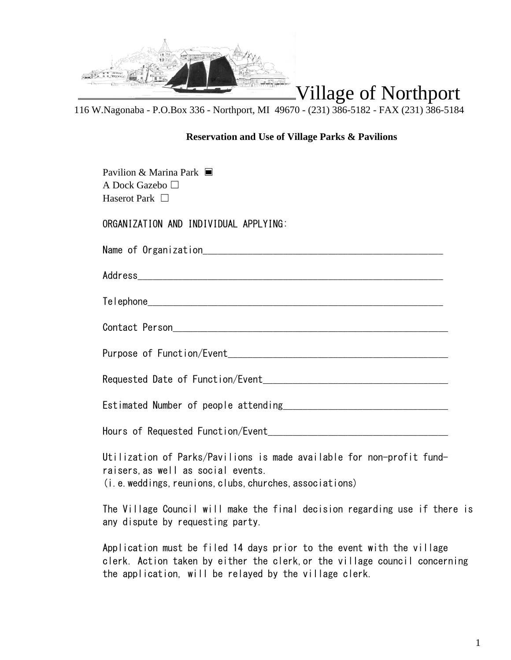

116 W.Nagonaba - P.O.Box 336 - Northport, MI 49670 - (231) 386-5182 - FAX (231) 386-5184

## **Reservation and Use of Village Parks & Pavilions**

| Pavilion & Marina Park<br>A Dock Gazebo □<br>Haserot Park $\Box$                                                                                                                                              |  |  |  |
|---------------------------------------------------------------------------------------------------------------------------------------------------------------------------------------------------------------|--|--|--|
| ORGANIZATION AND INDIVIDUAL APPLYING:                                                                                                                                                                         |  |  |  |
|                                                                                                                                                                                                               |  |  |  |
|                                                                                                                                                                                                               |  |  |  |
|                                                                                                                                                                                                               |  |  |  |
|                                                                                                                                                                                                               |  |  |  |
|                                                                                                                                                                                                               |  |  |  |
| Requested Date of Function/Event Management and Contract and Contract of Requested Date of Function                                                                                                           |  |  |  |
|                                                                                                                                                                                                               |  |  |  |
|                                                                                                                                                                                                               |  |  |  |
| Utilization of Parks/Pavilions is made available for non-profit fund-<br>raisers, as well as social events.<br>(i.e. weddings, reunions, clubs, churches, associations)                                       |  |  |  |
| The Village Council will make the final decision regarding use if there is<br>any dispute by requesting party.                                                                                                |  |  |  |
| Application must be filed 14 days prior to the event with the village<br>clerk. Action taken by either the clerk, or the village council concerning<br>the application, will be relayed by the village clerk. |  |  |  |